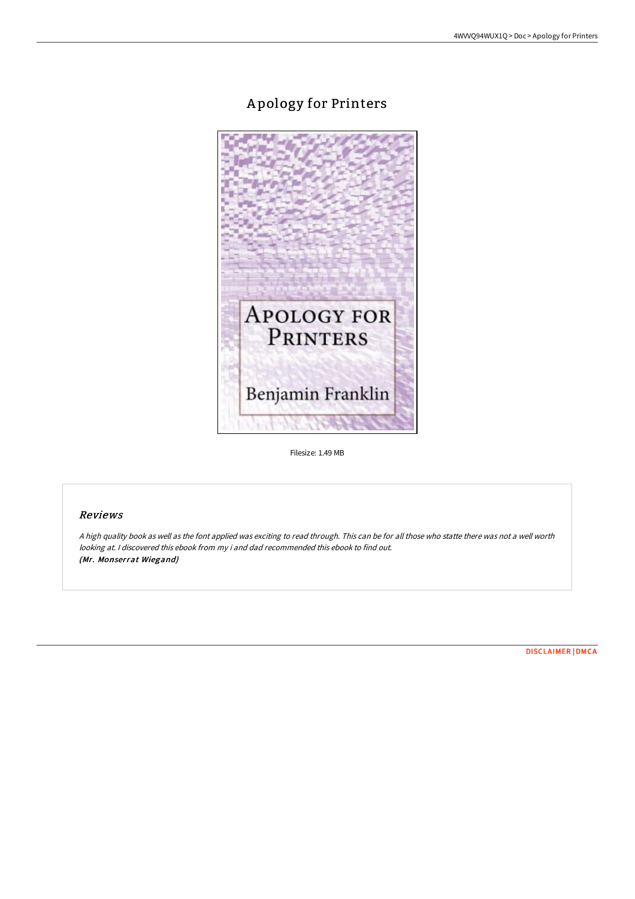# A pology for Printers



Filesize: 1.49 MB

## Reviews

<sup>A</sup> high quality book as well as the font applied was exciting to read through. This can be for all those who statte there was not <sup>a</sup> well worth looking at. <sup>I</sup> discovered this ebook from my i and dad recommended this ebook to find out. (Mr. Monserrat Wiegand)

[DISCLAIMER](http://techno-pub.tech/disclaimer.html) | [DMCA](http://techno-pub.tech/dmca.html)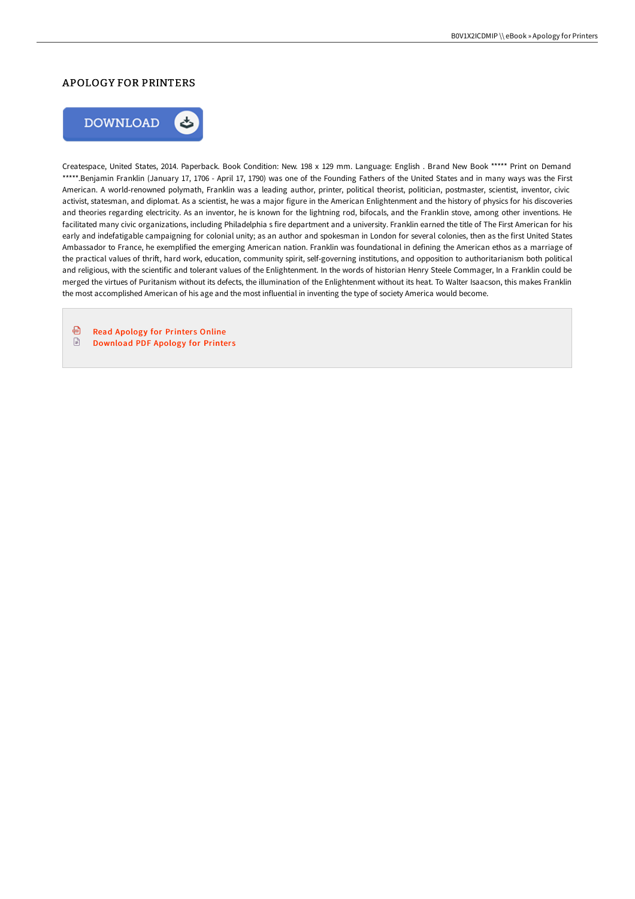#### APOLOGY FOR PRINTERS



Createspace, United States, 2014. Paperback. Book Condition: New. 198 x 129 mm. Language: English . Brand New Book \*\*\*\*\* Print on Demand \*\*\*\*\*.Benjamin Franklin (January 17, 1706 - April 17, 1790) was one of the Founding Fathers of the United States and in many ways was the First American. A world-renowned polymath, Franklin was a leading author, printer, political theorist, politician, postmaster, scientist, inventor, civic activist, statesman, and diplomat. As a scientist, he was a major figure in the American Enlightenment and the history of physics for his discoveries and theories regarding electricity. As an inventor, he is known for the lightning rod, bifocals, and the Franklin stove, among other inventions. He facilitated many civic organizations, including Philadelphia s fire department and a university. Franklin earned the title of The First American for his early and indefatigable campaigning for colonial unity; as an author and spokesman in London for several colonies, then as the first United States Ambassador to France, he exemplified the emerging American nation. Franklin was foundational in defining the American ethos as a marriage of the practical values of thrift, hard work, education, community spirit, self-governing institutions, and opposition to authoritarianism both political and religious, with the scientific and tolerant values of the Enlightenment. In the words of historian Henry Steele Commager, In a Franklin could be merged the virtues of Puritanism without its defects, the illumination of the Enlightenment without its heat. To Walter Isaacson, this makes Franklin the most accomplished American of his age and the most influential in inventing the type of society America would become.

⊕ Read [Apology](http://techno-pub.tech/apology-for-printers-paperback.html) for Printers Online  $\begin{tabular}{|c|c|} \hline \quad \quad & \quad \quad & \quad \quad \\ \hline \end{tabular}$ [Download](http://techno-pub.tech/apology-for-printers-paperback.html) PDF Apology for Printers